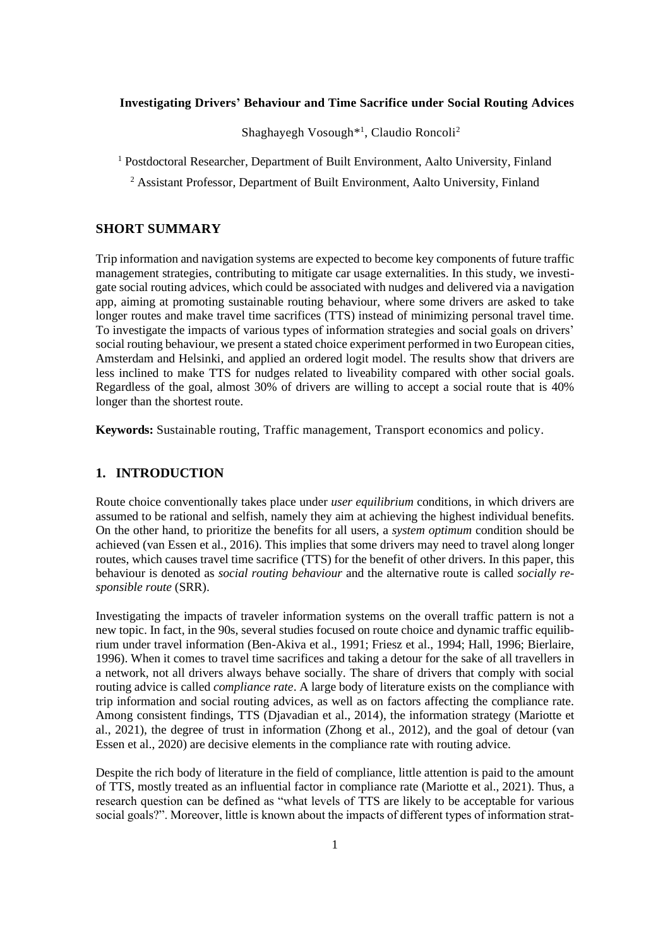# **Investigating Drivers' Behaviour and Time Sacrifice under Social Routing Advices**

Shaghayegh Vosough<sup>\*1</sup>, Claudio Roncoli<sup>2</sup>

<sup>1</sup> Postdoctoral Researcher, Department of Built Environment, Aalto University, Finland

<sup>2</sup> Assistant Professor, Department of Built Environment, Aalto University, Finland

# **SHORT SUMMARY**

Trip information and navigation systems are expected to become key components of future traffic management strategies, contributing to mitigate car usage externalities. In this study, we investigate social routing advices, which could be associated with nudges and delivered via a navigation app, aiming at promoting sustainable routing behaviour, where some drivers are asked to take longer routes and make travel time sacrifices (TTS) instead of minimizing personal travel time. To investigate the impacts of various types of information strategies and social goals on drivers' social routing behaviour, we present a stated choice experiment performed in two European cities, Amsterdam and Helsinki, and applied an ordered logit model. The results show that drivers are less inclined to make TTS for nudges related to liveability compared with other social goals. Regardless of the goal, almost 30% of drivers are willing to accept a social route that is 40% longer than the shortest route.

**Keywords:** Sustainable routing, Traffic management, Transport economics and policy.

# **1. INTRODUCTION**

Route choice conventionally takes place under *user equilibrium* conditions, in which drivers are assumed to be rational and selfish, namely they aim at achieving the highest individual benefits. On the other hand, to prioritize the benefits for all users, a *system optimum* condition should be achieved (van Essen et al., 2016). This implies that some drivers may need to travel along longer routes, which causes travel time sacrifice (TTS) for the benefit of other drivers. In this paper, this behaviour is denoted as *social routing behaviour* and the alternative route is called *socially responsible route* (SRR).

Investigating the impacts of traveler information systems on the overall traffic pattern is not a new topic. In fact, in the 90s, several studies focused on route choice and dynamic traffic equilibrium under travel information (Ben-Akiva et al., 1991; Friesz et al., 1994; Hall, 1996; Bierlaire, 1996). When it comes to travel time sacrifices and taking a detour for the sake of all travellers in a network, not all drivers always behave socially. The share of drivers that comply with social routing advice is called *compliance rate*. A large body of literature exists on the compliance with trip information and social routing advices, as well as on factors affecting the compliance rate. Among consistent findings, TTS (Djavadian et al., 2014), the information strategy (Mariotte et al., 2021), the degree of trust in information (Zhong et al., 2012), and the goal of detour (van Essen et al., 2020) are decisive elements in the compliance rate with routing advice.

Despite the rich body of literature in the field of compliance, little attention is paid to the amount of TTS, mostly treated as an influential factor in compliance rate (Mariotte et al., 2021). Thus, a research question can be defined as "what levels of TTS are likely to be acceptable for various social goals?". Moreover, little is known about the impacts of different types of information strat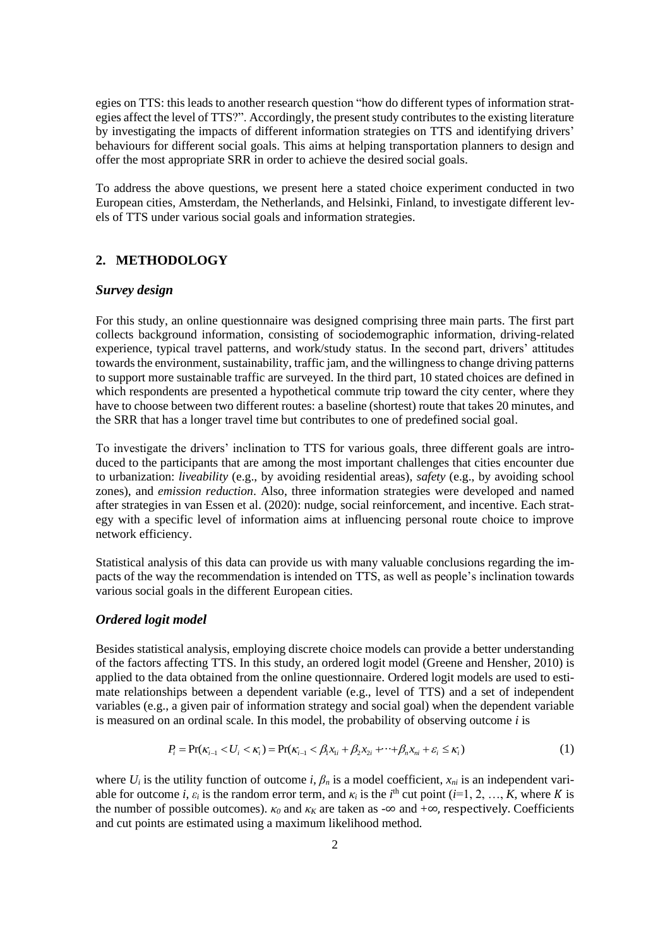egies on TTS: this leads to another research question "how do different types of information strategies affect the level of TTS?". Accordingly, the present study contributes to the existing literature by investigating the impacts of different information strategies on TTS and identifying drivers' behaviours for different social goals. This aims at helping transportation planners to design and offer the most appropriate SRR in order to achieve the desired social goals.

To address the above questions, we present here a stated choice experiment conducted in two European cities, Amsterdam, the Netherlands, and Helsinki, Finland, to investigate different levels of TTS under various social goals and information strategies.

## **2. METHODOLOGY**

## *Survey design*

For this study, an online questionnaire was designed comprising three main parts. The first part collects background information, consisting of sociodemographic information, driving-related experience, typical travel patterns, and work/study status. In the second part, drivers' attitudes towards the environment, sustainability, traffic jam, and the willingness to change driving patterns to support more sustainable traffic are surveyed. In the third part, 10 stated choices are defined in which respondents are presented a hypothetical commute trip toward the city center, where they have to choose between two different routes: a baseline (shortest) route that takes 20 minutes, and the SRR that has a longer travel time but contributes to one of predefined social goal.

To investigate the drivers' inclination to TTS for various goals, three different goals are introduced to the participants that are among the most important challenges that cities encounter due to urbanization: *liveability* (e.g., by avoiding residential areas), *safety* (e.g., by avoiding school zones), and *emission reduction*. Also, three information strategies were developed and named after strategies in van Essen et al. (2020): nudge, social reinforcement, and incentive. Each strategy with a specific level of information aims at influencing personal route choice to improve network efficiency.

Statistical analysis of this data can provide us with many valuable conclusions regarding the impacts of the way the recommendation is intended on TTS, as well as people's inclination towards various social goals in the different European cities.

#### *Ordered logit model*

Besides statistical analysis, employing discrete choice models can provide a better understanding of the factors affecting TTS. In this study, an ordered logit model (Greene and Hensher, 2010) is applied to the data obtained from the online questionnaire. Ordered logit models are used to estimate relationships between a dependent variable (e.g., level of TTS) and a set of independent variables (e.g., a given pair of information strategy and social goal) when the dependent variable is measured on an ordinal scale. In this model, the probability of observing outcome *i* is

$$
P_i = \Pr(\kappa_{i-1} < U_i < \kappa_i) = \Pr(\kappa_{i-1} < \beta_1 x_{1i} + \beta_2 x_{2i} + \dots + \beta_n x_{ni} + \varepsilon_i \le \kappa_i) \tag{1}
$$

where  $U_i$  is the utility function of outcome *i*,  $\beta_n$  is a model coefficient,  $x_{ni}$  is an independent variable for outcome *i*,  $\varepsilon_i$  is the random error term, and  $\kappa_i$  is the *i*<sup>th</sup> cut point (*i*=1, 2, …, *K*, where *K* is the number of possible outcomes).  $\kappa_0$  and  $\kappa_K$  are taken as -∞ and +∞, respectively. Coefficients and cut points are estimated using a maximum likelihood method.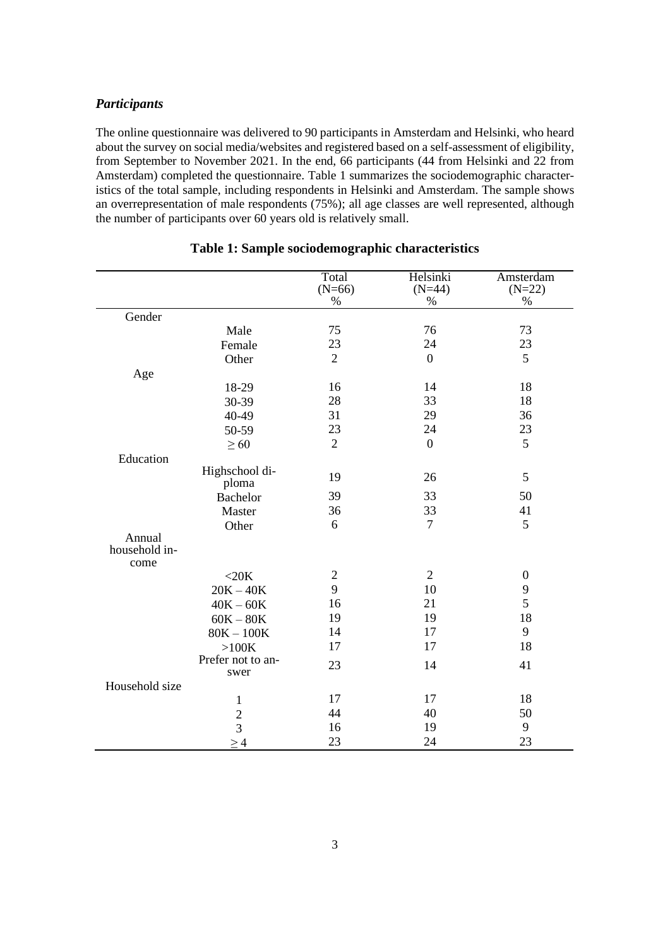# *Participants*

The online questionnaire was delivered to 90 participants in Amsterdam and Helsinki, who heard about the survey on social media/websites and registered based on a self-assessment of eligibility, from September to November 2021. In the end, 66 participants (44 from Helsinki and 22 from Amsterdam) completed the questionnaire. Table 1 summarizes the sociodemographic characteristics of the total sample, including respondents in Helsinki and Amsterdam. The sample shows an overrepresentation of male respondents (75%); all age classes are well represented, although the number of participants over 60 years old is relatively small.

|                |                         | Total            | Helsinki         | Amsterdam        |
|----------------|-------------------------|------------------|------------------|------------------|
|                |                         | $(N=66)$<br>$\%$ | $(N=44)$<br>%    | $(N=22)$<br>$\%$ |
| Gender         |                         |                  |                  |                  |
|                | Male                    | 75               | 76               | 73               |
|                | Female                  | 23               | 24               | 23               |
|                | Other                   | $\overline{2}$   | $\boldsymbol{0}$ | 5                |
|                |                         |                  |                  |                  |
| Age            | 18-29                   | 16               | 14               | 18               |
|                | 30-39                   | 28               | 33               | 18               |
|                | 40-49                   | 31               | 29               | 36               |
|                |                         | 23               | 24               | 23               |
|                | 50-59                   | $\overline{2}$   |                  | 5                |
|                | $\geq 60$               |                  | $\mathbf{0}$     |                  |
| Education      |                         |                  |                  |                  |
|                | Highschool di-<br>ploma | 19               | 26               | 5                |
|                | <b>Bachelor</b>         | 39               | 33               | 50               |
|                | Master                  | 36               | 33               | 41               |
|                | Other                   | 6                | $\tau$           | 5                |
| Annual         |                         |                  |                  |                  |
| household in-  |                         |                  |                  |                  |
| come           |                         |                  |                  |                  |
|                | $<$ 20 $K$              | $\overline{c}$   | $\overline{2}$   | $\boldsymbol{0}$ |
|                | $20K - 40K$             | 9                | 10               | 9                |
|                | $40K - 60K$             | 16               | 21               | 5                |
|                | $60K-80K$               | 19               | 19               | 18               |
|                | $80K - 100K$            | 14               | 17               | 9                |
|                | $>100K$                 | 17               | 17               | 18               |
|                | Prefer not to an-       | 23               | 14               | 41               |
|                | swer                    |                  |                  |                  |
| Household size |                         |                  |                  |                  |
|                | $\mathbf{1}$            | 17               | 17               | 18               |
|                | $\frac{2}{3}$           | 44               | 40               | 50               |
|                |                         | 16               | 19               | 9                |
|                | $\geq 4$                | 23               | 24               | 23               |

# **Table 1: Sample sociodemographic characteristics**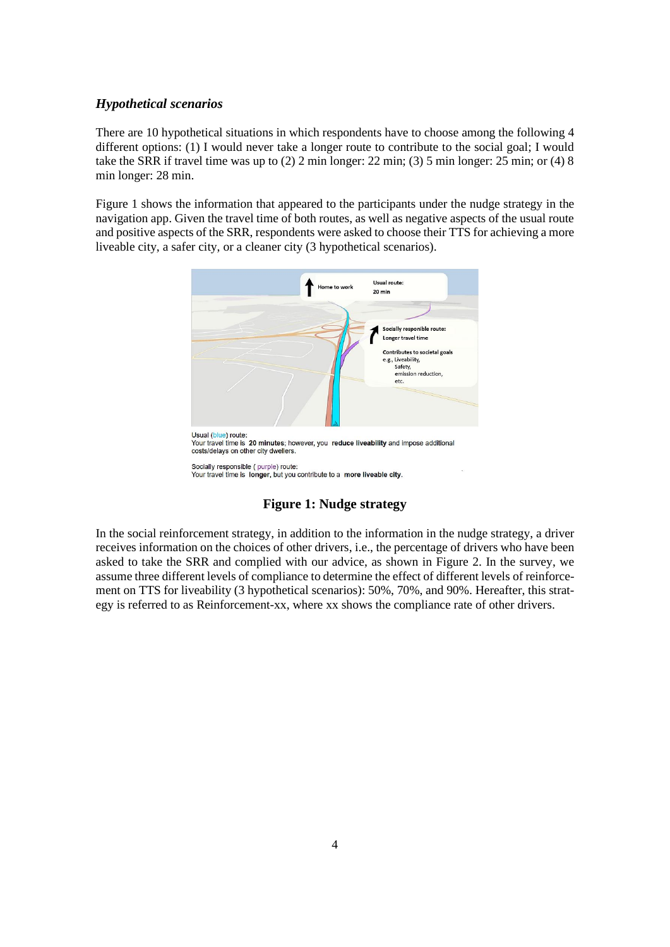## *Hypothetical scenarios*

There are 10 hypothetical situations in which respondents have to choose among the following 4 different options: (1) I would never take a longer route to contribute to the social goal; I would take the SRR if travel time was up to (2) 2 min longer: 22 min; (3) 5 min longer: 25 min; or (4) 8 min longer: 28 min.

Figure 1 shows the information that appeared to the participants under the nudge strategy in the navigation app. Given the travel time of both routes, as well as negative aspects of the usual route and positive aspects of the SRR, respondents were asked to choose their TTS for achieving a more liveable city, a safer city, or a cleaner city (3 hypothetical scenarios).



# **Figure 1: Nudge strategy**

In the social reinforcement strategy, in addition to the information in the nudge strategy, a driver receives information on the choices of other drivers, i.e., the percentage of drivers who have been asked to take the SRR and complied with our advice, as shown in [Figure 2.](#page-4-0) In the survey, we assume three different levels of compliance to determine the effect of different levels of reinforcement on TTS for liveability (3 hypothetical scenarios): 50%, 70%, and 90%. Hereafter, this strategy is referred to as Reinforcement-xx, where xx shows the compliance rate of other drivers.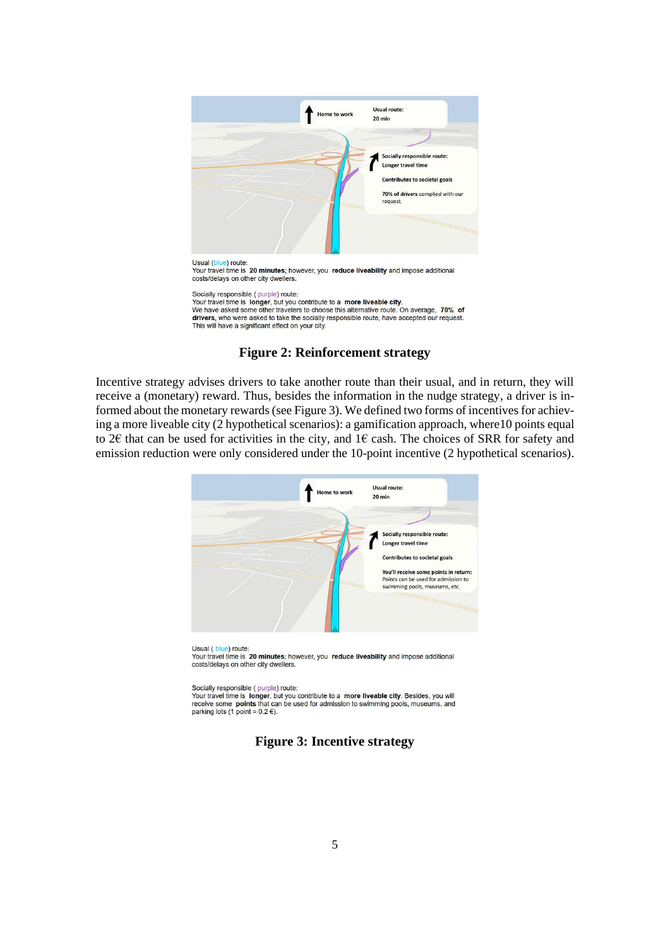

Your travel time is 20 minutes; however, you reduce liveability and impose additional costs/delays on other city dwellers

Socially responsible (purple) route: Sociality responsive (purplie) route.<br>Your travel time is longer, but you contribute to a more liveable city.<br>We have asked some other travelers to choose this alternative route. On average, 70% of drivers, who were asked to take the socially responsible route, have accepted our request. This will have a significant effect on your city.

## **Figure 2: Reinforcement strategy**

<span id="page-4-0"></span>Incentive strategy advises drivers to take another route than their usual, and in return, they will receive a (monetary) reward. Thus, besides the information in the nudge strategy, a driver is informed about the monetary rewards (se[e Figure 3\)](#page-4-1). We defined two forms of incentives for achieving a more liveable city (2 hypothetical scenarios): a gamification approach, where10 points equal to 2€ that can be used for activities in the city, and 1€ cash. The choices of SRR for safety and emission reduction were only considered under the 10-point incentive (2 hypothetical scenarios).



Usual (blue) route:<br>Your travel time is 20 minutes; however, you reduce liveability and impose additional costs/delays on other city dwellers.

Socially responsible (purple) route:

<span id="page-4-1"></span>Sour travel time is longer, but you contribute to a **more liveable city**. Besides, you will<br>receive some **points** that can be used for admission to swimming pools, museums, and parking lots (1 point =  $0.2$  €).

# **Figure 3: Incentive strategy**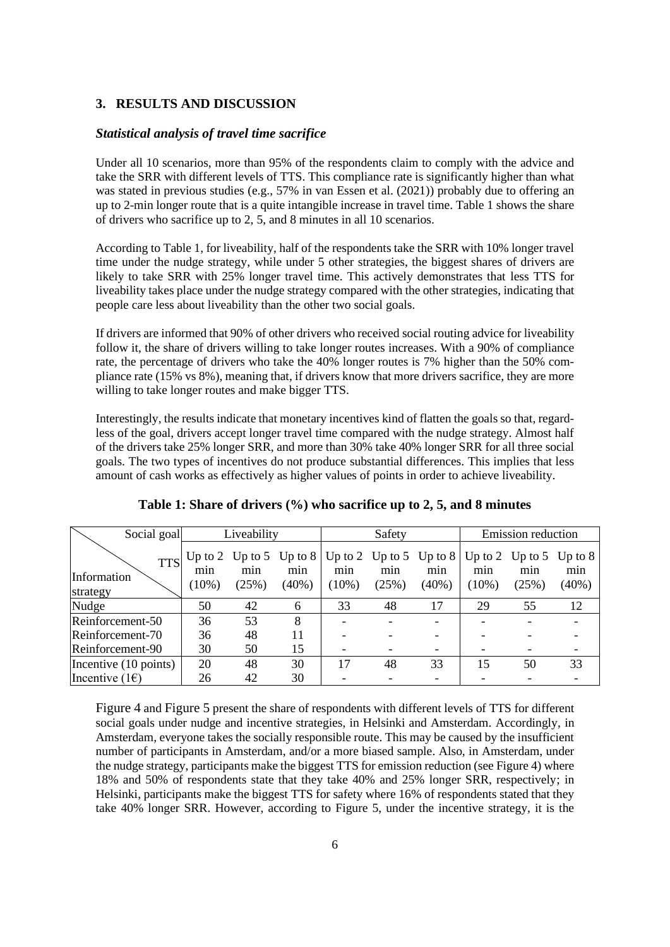## **3. RESULTS AND DISCUSSION**

#### *Statistical analysis of travel time sacrifice*

Under all 10 scenarios, more than 95% of the respondents claim to comply with the advice and take the SRR with different levels of TTS. This compliance rate is significantly higher than what was stated in previous studies (e.g., 57% in van Essen et al. (2021)) probably due to offering an up to 2-min longer route that is a quite intangible increase in travel time. [Table 1](#page-5-0) shows the share of drivers who sacrifice up to 2, 5, and 8 minutes in all 10 scenarios.

According to [Table 1,](#page-5-0) for liveability, half of the respondents take the SRR with 10% longer travel time under the nudge strategy, while under 5 other strategies, the biggest shares of drivers are likely to take SRR with 25% longer travel time. This actively demonstrates that less TTS for liveability takes place under the nudge strategy compared with the other strategies, indicating that people care less about liveability than the other two social goals.

If drivers are informed that 90% of other drivers who received social routing advice for liveability follow it, the share of drivers willing to take longer routes increases. With a 90% of compliance rate, the percentage of drivers who take the 40% longer routes is 7% higher than the 50% compliance rate (15% vs 8%), meaning that, if drivers know that more drivers sacrifice, they are more willing to take longer routes and make bigger TTS.

Interestingly, the results indicate that monetary incentives kind of flatten the goals so that, regardless of the goal, drivers accept longer travel time compared with the nudge strategy. Almost half of the drivers take 25% longer SRR, and more than 30% take 40% longer SRR for all three social goals. The two types of incentives do not produce substantial differences. This implies that less amount of cash works as effectively as higher values of points in order to achieve liveability.

<span id="page-5-0"></span>

| Social goal                           | Liveability                  |              | Safety                               |                 | <b>Emission</b> reduction |                                                   |                 |                                         |                 |
|---------------------------------------|------------------------------|--------------|--------------------------------------|-----------------|---------------------------|---------------------------------------------------|-----------------|-----------------------------------------|-----------------|
| <b>TTS</b><br>Information<br>strategy | Up to $2$<br>min<br>$(10\%)$ | min<br>(25%) | Up to 5 Up to $8$<br>min<br>$(40\%)$ | min<br>$(10\%)$ | min<br>(25%)              | Up to 2 Up to 5 Up to $8 \mid$<br>min<br>$(40\%)$ | min<br>$(10\%)$ | Up to 2 Up to 5 Up to 8<br>min<br>(25%) | min<br>$(40\%)$ |
| Nudge                                 | 50                           | 42           | 6                                    | 33              | 48                        | 17                                                | 29              | 55                                      | 12              |
| Reinforcement-50                      | 36                           | 53           | 8                                    |                 |                           |                                                   |                 |                                         |                 |
| Reinforcement-70                      | 36                           | 48           | 11                                   |                 |                           |                                                   |                 |                                         |                 |
| Reinforcement-90                      | 30                           | 50           | 15                                   |                 |                           |                                                   |                 |                                         |                 |
| Incentive (10 points)                 | 20                           | 48           | 30                                   | 17              | 48                        | 33                                                | 15              | 50                                      | 33              |
| Incentive $(1)$                       | 26                           | 42           | 30                                   |                 |                           |                                                   |                 |                                         |                 |

## **Table 1: Share of drivers (%) who sacrifice up to 2, 5, and 8 minutes**

[Figure 4](#page-6-0) and [Figure 5](#page-6-1) present the share of respondents with different levels of TTS for different social goals under nudge and incentive strategies, in Helsinki and Amsterdam. Accordingly, in Amsterdam, everyone takes the socially responsible route. This may be caused by the insufficient number of participants in Amsterdam, and/or a more biased sample. Also, in Amsterdam, under the nudge strategy, participants make the biggest TTS for emission reduction (see Figure 4) where 18% and 50% of respondents state that they take 40% and 25% longer SRR, respectively; in Helsinki, participants make the biggest TTS for safety where 16% of respondents stated that they take 40% longer SRR. However, according to [Figure 5,](#page-6-1) under the incentive strategy, it is the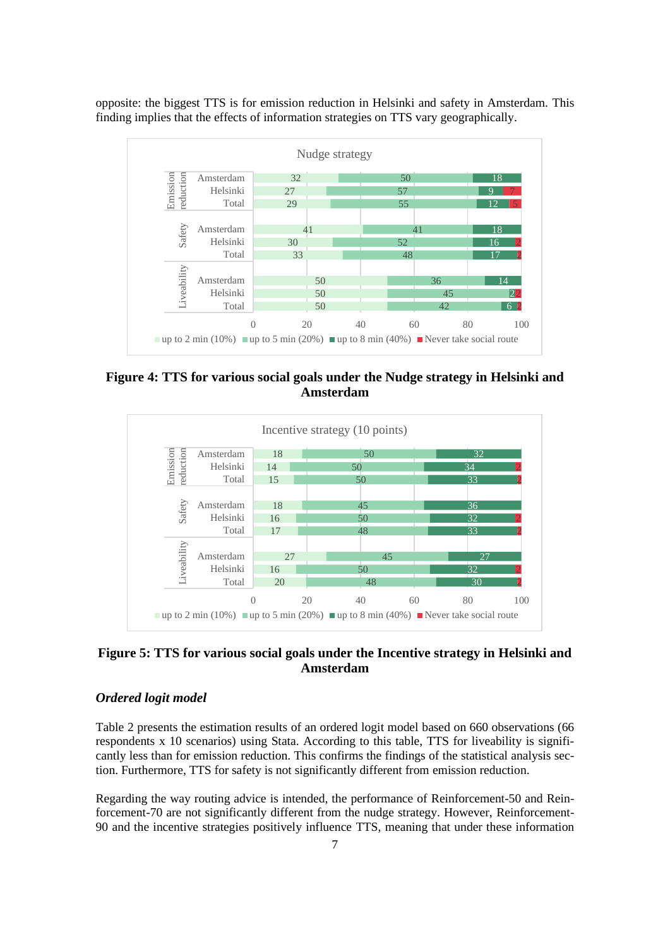opposite: the biggest TTS is for emission reduction in Helsinki and safety in Amsterdam. This finding implies that the effects of information strategies on TTS vary geographically.



<span id="page-6-0"></span>**Figure 4: TTS for various social goals under the Nudge strategy in Helsinki and Amsterdam**



# <span id="page-6-1"></span>**Figure 5: TTS for various social goals under the Incentive strategy in Helsinki and Amsterdam**

# *Ordered logit model*

[Table 2](#page-7-0) presents the estimation results of an ordered logit model based on 660 observations (66 respondents x 10 scenarios) using Stata. According to this table, TTS for liveability is significantly less than for emission reduction. This confirms the findings of the statistical analysis section. Furthermore, TTS for safety is not significantly different from emission reduction.

Regarding the way routing advice is intended, the performance of Reinforcement-50 and Reinforcement-70 are not significantly different from the nudge strategy. However, Reinforcement-and the incentive strategies positively influence TTS, meaning that under these information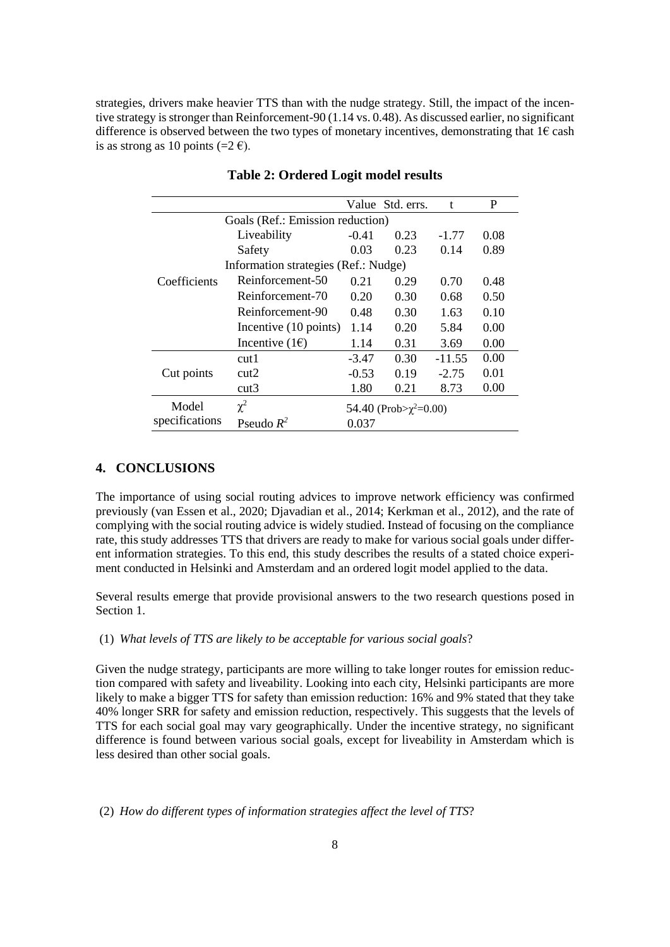strategies, drivers make heavier TTS than with the nudge strategy. Still, the impact of the incentive strategy is stronger than Reinforcement-90 (1.14 vs. 0.48). As discussed earlier, no significant difference is observed between the two types of monetary incentives, demonstrating that  $1 \epsilon$  cash is as strong as 10 points (= $2 \text{ } \infty$ ).

<span id="page-7-0"></span>

|                |                                      |         | Value Std. errs.             | t        | P    |  |  |  |
|----------------|--------------------------------------|---------|------------------------------|----------|------|--|--|--|
|                | Goals (Ref.: Emission reduction)     |         |                              |          |      |  |  |  |
| Coefficients   | Liveability                          | $-0.41$ | 0.23                         | $-1.77$  | 0.08 |  |  |  |
|                | Safety                               | 0.03    | 0.23                         | 0.14     | 0.89 |  |  |  |
|                | Information strategies (Ref.: Nudge) |         |                              |          |      |  |  |  |
|                | Reinforcement-50                     | 0.21    | 0.29                         | 0.70     | 0.48 |  |  |  |
|                | Reinforcement-70                     | 0.20    | 0.30                         | 0.68     | 0.50 |  |  |  |
|                | Reinforcement-90                     | 0.48    | 0.30                         | 1.63     | 0.10 |  |  |  |
|                | Incentive (10 points)                | 1.14    | 0.20                         | 5.84     | 0.00 |  |  |  |
|                | Incentive $(1)$                      | 1.14    | 0.31                         | 3.69     | 0.00 |  |  |  |
|                | cut1                                 | $-3.47$ | 0.30                         | $-11.55$ | 0.00 |  |  |  |
| Cut points     | cut2                                 | $-0.53$ | 0.19                         | $-2.75$  | 0.01 |  |  |  |
|                | cut3                                 | 1.80    | 0.21                         | 8.73     | 0.00 |  |  |  |
| Model          | $\chi^2$                             |         | 54.40 (Prob> $\chi^2$ =0.00) |          |      |  |  |  |
| specifications | Pseudo $R^2$                         | 0.037   |                              |          |      |  |  |  |

## **Table 2: Ordered Logit model results**

## **4. CONCLUSIONS**

The importance of using social routing advices to improve network efficiency was confirmed previously (van Essen et al., 2020; Djavadian et al., 2014; Kerkman et al., 2012), and the rate of complying with the social routing advice is widely studied. Instead of focusing on the compliance rate, this study addresses TTS that drivers are ready to make for various social goals under different information strategies. To this end, this study describes the results of a stated choice experiment conducted in Helsinki and Amsterdam and an ordered logit model applied to the data.

Several results emerge that provide provisional answers to the two research questions posed in Section 1.

#### (1) *What levels of TTS are likely to be acceptable for various social goals*?

Given the nudge strategy, participants are more willing to take longer routes for emission reduction compared with safety and liveability. Looking into each city, Helsinki participants are more likely to make a bigger TTS for safety than emission reduction: 16% and 9% stated that they take 40% longer SRR for safety and emission reduction, respectively. This suggests that the levels of TTS for each social goal may vary geographically. Under the incentive strategy, no significant difference is found between various social goals, except for liveability in Amsterdam which is less desired than other social goals.

(2) *How do different types of information strategies affect the level of TTS*?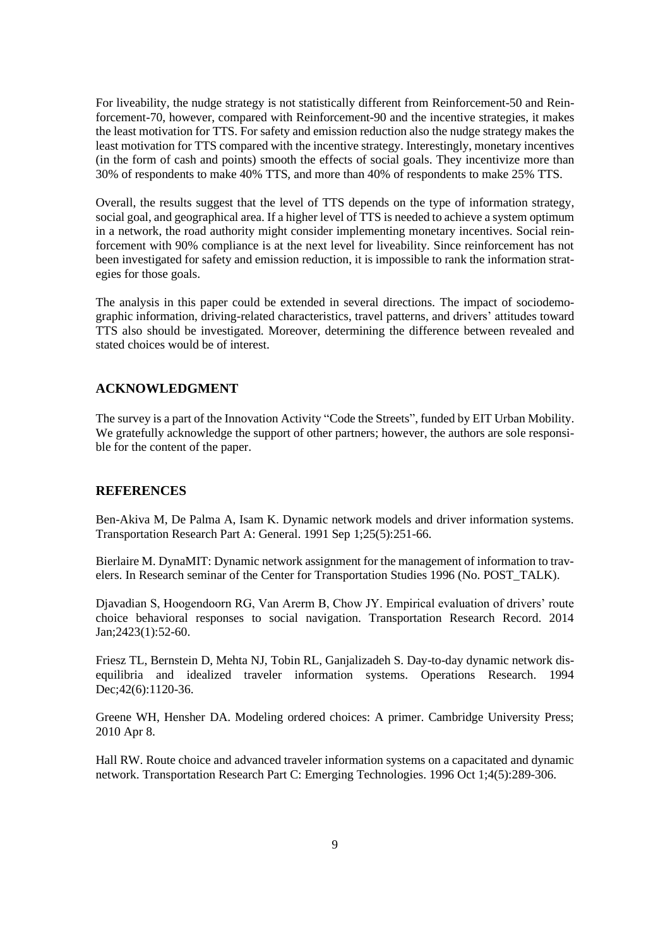For liveability, the nudge strategy is not statistically different from Reinforcement-50 and Reinforcement-70, however, compared with Reinforcement-90 and the incentive strategies, it makes the least motivation for TTS. For safety and emission reduction also the nudge strategy makes the least motivation for TTS compared with the incentive strategy. Interestingly, monetary incentives (in the form of cash and points) smooth the effects of social goals. They incentivize more than 30% of respondents to make 40% TTS, and more than 40% of respondents to make 25% TTS.

Overall, the results suggest that the level of TTS depends on the type of information strategy, social goal, and geographical area. If a higher level of TTS is needed to achieve a system optimum in a network, the road authority might consider implementing monetary incentives. Social reinforcement with 90% compliance is at the next level for liveability. Since reinforcement has not been investigated for safety and emission reduction, it is impossible to rank the information strategies for those goals.

The analysis in this paper could be extended in several directions. The impact of sociodemographic information, driving-related characteristics, travel patterns, and drivers' attitudes toward TTS also should be investigated. Moreover, determining the difference between revealed and stated choices would be of interest.

# **ACKNOWLEDGMENT**

The survey is a part of the Innovation Activity "Code the Streets", funded by EIT Urban Mobility. We gratefully acknowledge the support of other partners; however, the authors are sole responsible for the content of the paper.

## **REFERENCES**

Ben-Akiva M, De Palma A, Isam K. Dynamic network models and driver information systems. Transportation Research Part A: General. 1991 Sep 1;25(5):251-66.

Bierlaire M. DynaMIT: Dynamic network assignment for the management of information to travelers. In Research seminar of the Center for Transportation Studies 1996 (No. POST\_TALK).

Djavadian S, Hoogendoorn RG, Van Arerm B, Chow JY. Empirical evaluation of drivers' route choice behavioral responses to social navigation. Transportation Research Record. 2014 Jan;2423(1):52-60.

Friesz TL, Bernstein D, Mehta NJ, Tobin RL, Ganjalizadeh S. Day-to-day dynamic network disequilibria and idealized traveler information systems. Operations Research. 1994 Dec; 42(6): 1120-36.

Greene WH, Hensher DA. Modeling ordered choices: A primer. Cambridge University Press; 2010 Apr 8.

Hall RW. Route choice and advanced traveler information systems on a capacitated and dynamic network. Transportation Research Part C: Emerging Technologies. 1996 Oct 1;4(5):289-306.